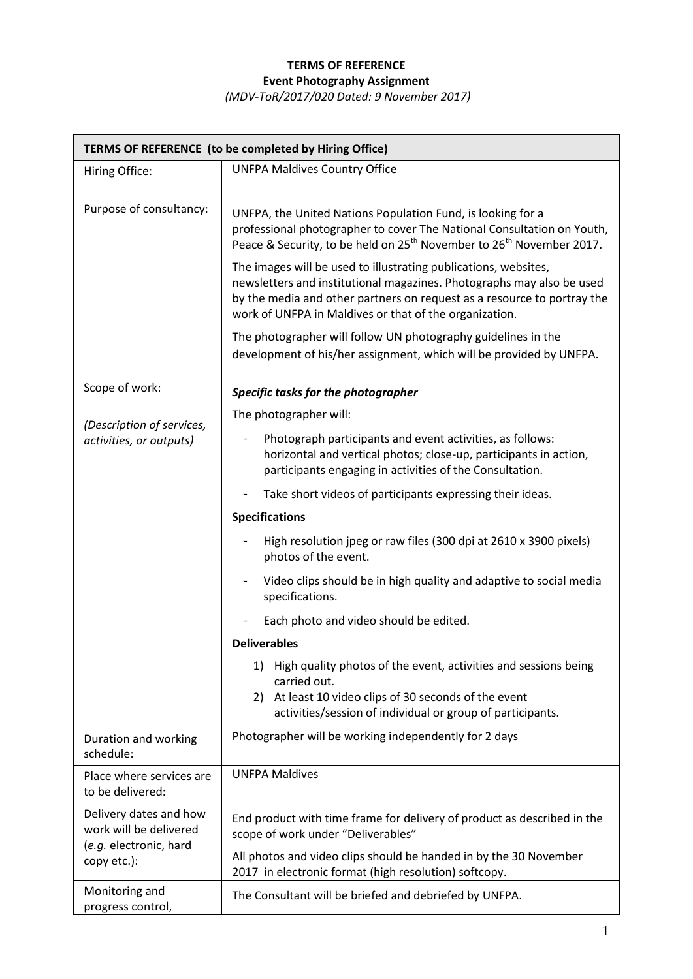## **TERMS OF REFERENCE Event Photography Assignment**

*(MDV-ToR/2017/020 Dated: 9 November 2017)*

| TERMS OF REFERENCE (to be completed by Hiring Office)                                     |                                                                                                                                                                                                                                                                               |  |
|-------------------------------------------------------------------------------------------|-------------------------------------------------------------------------------------------------------------------------------------------------------------------------------------------------------------------------------------------------------------------------------|--|
| Hiring Office:                                                                            | <b>UNFPA Maldives Country Office</b>                                                                                                                                                                                                                                          |  |
| Purpose of consultancy:                                                                   | UNFPA, the United Nations Population Fund, is looking for a<br>professional photographer to cover The National Consultation on Youth,<br>Peace & Security, to be held on 25 <sup>th</sup> November to 26 <sup>th</sup> November 2017.                                         |  |
|                                                                                           | The images will be used to illustrating publications, websites,<br>newsletters and institutional magazines. Photographs may also be used<br>by the media and other partners on request as a resource to portray the<br>work of UNFPA in Maldives or that of the organization. |  |
|                                                                                           | The photographer will follow UN photography guidelines in the<br>development of his/her assignment, which will be provided by UNFPA.                                                                                                                                          |  |
| Scope of work:                                                                            | Specific tasks for the photographer                                                                                                                                                                                                                                           |  |
|                                                                                           | The photographer will:                                                                                                                                                                                                                                                        |  |
| (Description of services,<br>activities, or outputs)                                      | Photograph participants and event activities, as follows:<br>horizontal and vertical photos; close-up, participants in action,<br>participants engaging in activities of the Consultation.                                                                                    |  |
|                                                                                           | Take short videos of participants expressing their ideas.                                                                                                                                                                                                                     |  |
|                                                                                           | <b>Specifications</b>                                                                                                                                                                                                                                                         |  |
|                                                                                           | High resolution jpeg or raw files (300 dpi at 2610 x 3900 pixels)<br>photos of the event.                                                                                                                                                                                     |  |
|                                                                                           | Video clips should be in high quality and adaptive to social media<br>specifications.                                                                                                                                                                                         |  |
|                                                                                           | Each photo and video should be edited.                                                                                                                                                                                                                                        |  |
|                                                                                           | <b>Deliverables</b>                                                                                                                                                                                                                                                           |  |
|                                                                                           | 1) High quality photos of the event, activities and sessions being<br>carried out.                                                                                                                                                                                            |  |
|                                                                                           | 2) At least 10 video clips of 30 seconds of the event<br>activities/session of individual or group of participants.                                                                                                                                                           |  |
| Duration and working<br>schedule:                                                         | Photographer will be working independently for 2 days                                                                                                                                                                                                                         |  |
| Place where services are<br>to be delivered:                                              | <b>UNFPA Maldives</b>                                                                                                                                                                                                                                                         |  |
| Delivery dates and how<br>work will be delivered<br>(e.g. electronic, hard<br>copy etc.): | End product with time frame for delivery of product as described in the<br>scope of work under "Deliverables"                                                                                                                                                                 |  |
|                                                                                           | All photos and video clips should be handed in by the 30 November<br>2017 in electronic format (high resolution) softcopy.                                                                                                                                                    |  |
| Monitoring and<br>progress control,                                                       | The Consultant will be briefed and debriefed by UNFPA.                                                                                                                                                                                                                        |  |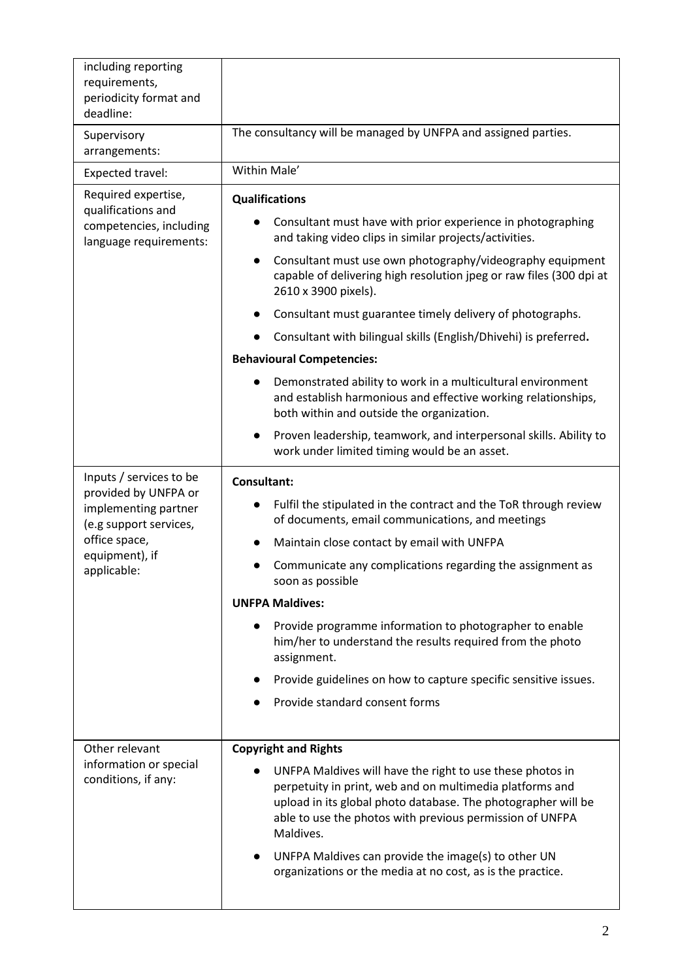| including reporting<br>requirements,<br>periodicity format and<br>deadline:                                                                         |                                                                                                                                                                                                                                                                                                                                                                                                                                                                                                                                                                                                                                                                                                                                                                                                |  |
|-----------------------------------------------------------------------------------------------------------------------------------------------------|------------------------------------------------------------------------------------------------------------------------------------------------------------------------------------------------------------------------------------------------------------------------------------------------------------------------------------------------------------------------------------------------------------------------------------------------------------------------------------------------------------------------------------------------------------------------------------------------------------------------------------------------------------------------------------------------------------------------------------------------------------------------------------------------|--|
| Supervisory<br>arrangements:                                                                                                                        | The consultancy will be managed by UNFPA and assigned parties.                                                                                                                                                                                                                                                                                                                                                                                                                                                                                                                                                                                                                                                                                                                                 |  |
| Expected travel:                                                                                                                                    | Within Male'                                                                                                                                                                                                                                                                                                                                                                                                                                                                                                                                                                                                                                                                                                                                                                                   |  |
| Required expertise,<br>qualifications and<br>competencies, including<br>language requirements:                                                      | <b>Qualifications</b><br>Consultant must have with prior experience in photographing<br>and taking video clips in similar projects/activities.<br>Consultant must use own photography/videography equipment<br>capable of delivering high resolution jpeg or raw files (300 dpi at<br>2610 x 3900 pixels).<br>Consultant must guarantee timely delivery of photographs.<br>Consultant with bilingual skills (English/Dhivehi) is preferred.<br><b>Behavioural Competencies:</b><br>Demonstrated ability to work in a multicultural environment<br>and establish harmonious and effective working relationships,<br>both within and outside the organization.<br>Proven leadership, teamwork, and interpersonal skills. Ability to<br>$\bullet$<br>work under limited timing would be an asset. |  |
| Inputs / services to be<br>provided by UNFPA or<br>implementing partner<br>(e.g support services,<br>office space,<br>equipment), if<br>applicable: | <b>Consultant:</b><br>Fulfil the stipulated in the contract and the ToR through review<br>of documents, email communications, and meetings<br>Maintain close contact by email with UNFPA<br>Communicate any complications regarding the assignment as<br>soon as possible<br><b>UNFPA Maldives:</b><br>Provide programme information to photographer to enable<br>him/her to understand the results required from the photo<br>assignment.<br>Provide guidelines on how to capture specific sensitive issues.<br>Provide standard consent forms                                                                                                                                                                                                                                                |  |
| Other relevant<br>information or special<br>conditions, if any:                                                                                     | <b>Copyright and Rights</b><br>UNFPA Maldives will have the right to use these photos in<br>perpetuity in print, web and on multimedia platforms and<br>upload in its global photo database. The photographer will be<br>able to use the photos with previous permission of UNFPA<br>Maldives.<br>UNFPA Maldives can provide the image(s) to other UN<br>organizations or the media at no cost, as is the practice.                                                                                                                                                                                                                                                                                                                                                                            |  |